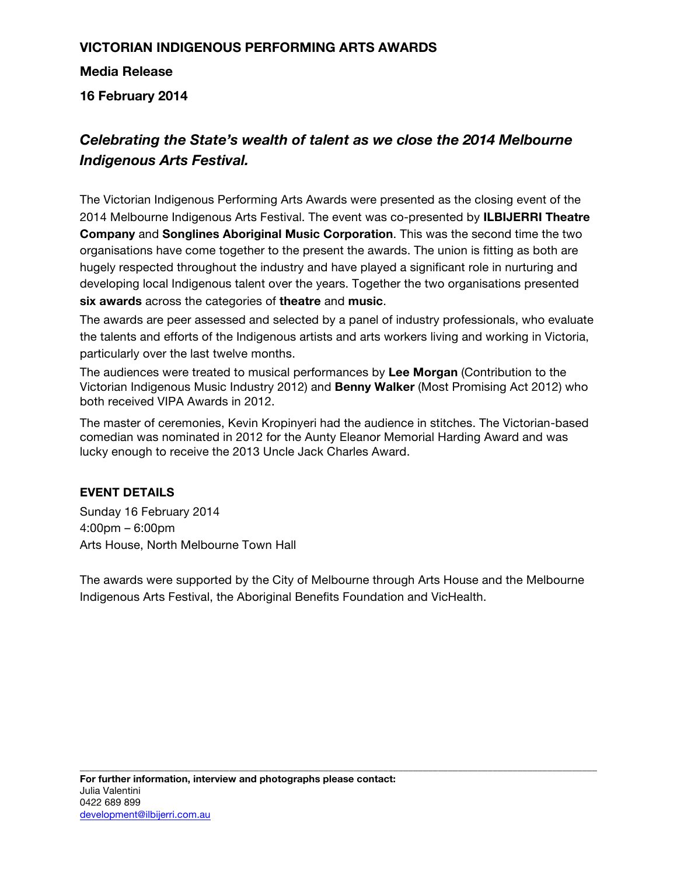# **VICTORIAN INDIGENOUS PERFORMING ARTS AWARDS**

**Media Release** 

**16 February 2014**

# *Celebrating the State's wealth of talent as we close the 2014 Melbourne Indigenous Arts Festival.*

The Victorian Indigenous Performing Arts Awards were presented as the closing event of the 2014 Melbourne Indigenous Arts Festival. The event was co-presented by **ILBIJERRI Theatre Company** and **Songlines Aboriginal Music Corporation**. This was the second time the two organisations have come together to the present the awards. The union is fitting as both are hugely respected throughout the industry and have played a significant role in nurturing and developing local Indigenous talent over the years. Together the two organisations presented **six awards** across the categories of **theatre** and **music**.

The awards are peer assessed and selected by a panel of industry professionals, who evaluate the talents and efforts of the Indigenous artists and arts workers living and working in Victoria, particularly over the last twelve months.

The audiences were treated to musical performances by **Lee Morgan** (Contribution to the Victorian Indigenous Music Industry 2012) and **Benny Walker** (Most Promising Act 2012) who both received VIPA Awards in 2012.

The master of ceremonies, Kevin Kropinyeri had the audience in stitches. The Victorian-based comedian was nominated in 2012 for the Aunty Eleanor Memorial Harding Award and was lucky enough to receive the 2013 Uncle Jack Charles Award.

### **EVENT DETAILS**

Sunday 16 February 2014 4:00pm – 6:00pm Arts House, North Melbourne Town Hall

The awards were supported by the City of Melbourne through Arts House and the Melbourne Indigenous Arts Festival, the Aboriginal Benefits Foundation and VicHealth.

**\_\_\_\_\_\_\_\_\_\_\_\_\_\_\_\_\_\_\_\_\_\_\_\_\_\_\_\_\_\_\_\_\_\_\_\_\_\_\_\_\_\_\_\_\_\_\_\_\_\_\_\_\_\_\_\_\_\_\_\_\_\_\_\_\_\_\_\_\_\_\_\_\_\_\_\_\_\_\_\_\_\_\_\_\_\_\_\_\_\_\_\_\_\_\_\_\_\_\_\_\_\_\_\_**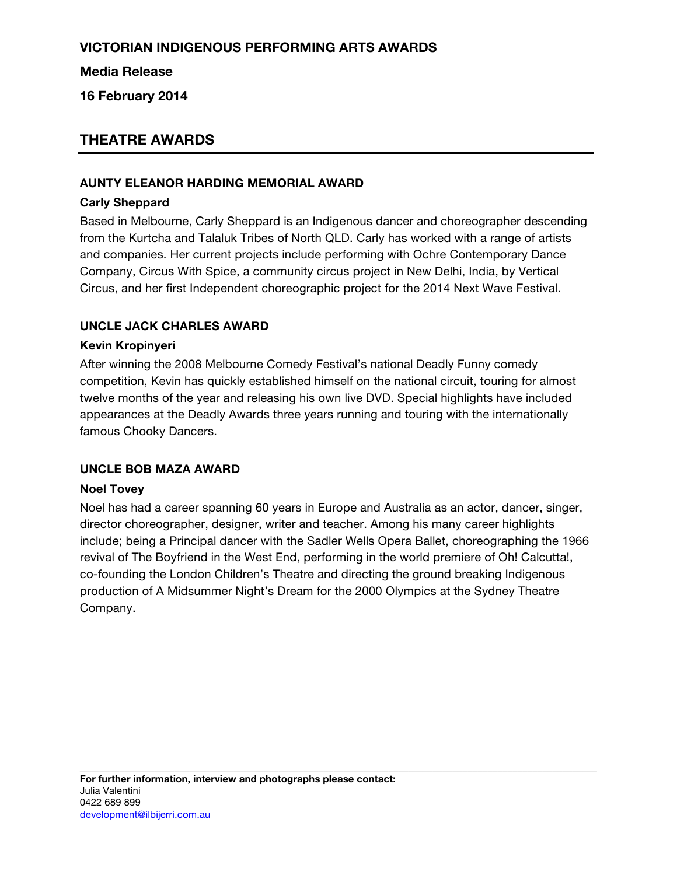# **VICTORIAN INDIGENOUS PERFORMING ARTS AWARDS**

### **Media Release**

**16 February 2014**

# **THEATRE AWARDS**

#### **AUNTY ELEANOR HARDING MEMORIAL AWARD**

#### **Carly Sheppard**

Based in Melbourne, Carly Sheppard is an Indigenous dancer and choreographer descending from the Kurtcha and Talaluk Tribes of North QLD. Carly has worked with a range of artists and companies. Her current projects include performing with Ochre Contemporary Dance Company, Circus With Spice, a community circus project in New Delhi, India, by Vertical Circus, and her first Independent choreographic project for the 2014 Next Wave Festival.

#### **UNCLE JACK CHARLES AWARD**

#### **Kevin Kropinyeri**

After winning the 2008 Melbourne Comedy Festival's national Deadly Funny comedy competition, Kevin has quickly established himself on the national circuit, touring for almost twelve months of the year and releasing his own live DVD. Special highlights have included appearances at the Deadly Awards three years running and touring with the internationally famous Chooky Dancers.

#### **UNCLE BOB MAZA AWARD**

#### **Noel Tovey**

Noel has had a career spanning 60 years in Europe and Australia as an actor, dancer, singer, director choreographer, designer, writer and teacher. Among his many career highlights include; being a Principal dancer with the Sadler Wells Opera Ballet, choreographing the 1966 revival of The Boyfriend in the West End, performing in the world premiere of Oh! Calcutta!, co-founding the London Children's Theatre and directing the ground breaking Indigenous production of A Midsummer Night's Dream for the 2000 Olympics at the Sydney Theatre Company.

**\_\_\_\_\_\_\_\_\_\_\_\_\_\_\_\_\_\_\_\_\_\_\_\_\_\_\_\_\_\_\_\_\_\_\_\_\_\_\_\_\_\_\_\_\_\_\_\_\_\_\_\_\_\_\_\_\_\_\_\_\_\_\_\_\_\_\_\_\_\_\_\_\_\_\_\_\_\_\_\_\_\_\_\_\_\_\_\_\_\_\_\_\_\_\_\_\_\_\_\_\_\_\_\_**